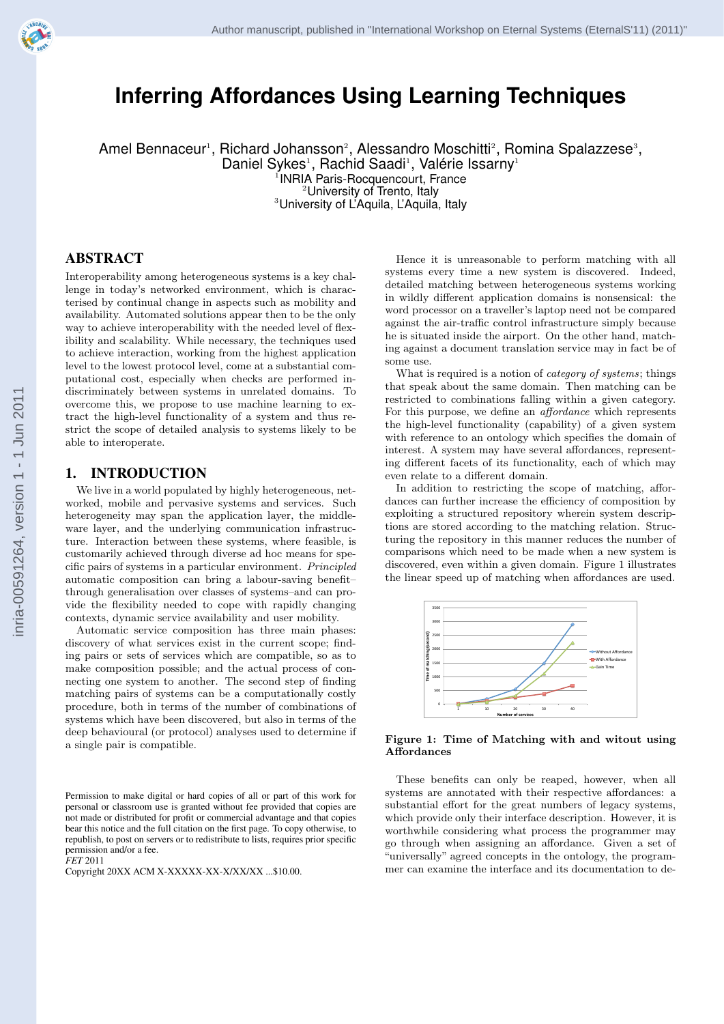

# **Inferring Affordances Using Learning Techniques**

Amel Bennaceur<sup>1</sup>, Richard Johansson<sup>2</sup>, Alessandro Moschitti<sup>2</sup>, Romina Spalazzese<sup>3</sup>, Daniel Sykes<sup>1</sup>, Rachid Saadi<sup>1</sup>, Valérie Issarny<sup>1</sup>

<sup>1</sup> INRIA Paris-Rocquencourt, France

 $2$ University of Trento, Italy

<sup>3</sup>University of L'Aquila, L'Aquila, Italy

# ABSTRACT

Interoperability among heterogeneous systems is a key challenge in today's networked environment, which is characterised by continual change in aspects such as mobility and availability. Automated solutions appear then to be the only way to achieve interoperability with the needed level of flexibility and scalability. While necessary, the techniques used to achieve interaction, working from the highest application level to the lowest protocol level, come at a substantial computational cost, especially when checks are performed indiscriminately between systems in unrelated domains. To overcome this, we propose to use machine learning to extract the high-level functionality of a system and thus restrict the scope of detailed analysis to systems likely to be able to interoperate.

#### 1. INTRODUCTION

We live in a world populated by highly heterogeneous, networked, mobile and pervasive systems and services. Such heterogeneity may span the application layer, the middleware layer, and the underlying communication infrastructure. Interaction between these systems, where feasible, is customarily achieved through diverse ad hoc means for specific pairs of systems in a particular environment. Principled automatic composition can bring a labour-saving benefit– through generalisation over classes of systems–and can provide the flexibility needed to cope with rapidly changing contexts, dynamic service availability and user mobility.

Automatic service composition has three main phases: discovery of what services exist in the current scope; finding pairs or sets of services which are compatible, so as to make composition possible; and the actual process of connecting one system to another. The second step of finding matching pairs of systems can be a computationally costly procedure, both in terms of the number of combinations of systems which have been discovered, but also in terms of the deep behavioural (or protocol) analyses used to determine if a single pair is compatible.

Permission to make digital or hard copies of all or part of this work for personal or classroom use is granted without fee provided that copies are not made or distributed for profit or commercial advantage and that copies bear this notice and the full citation on the first page. To copy otherwise, to republish, to post on servers or to redistribute to lists, requires prior specific permission and/or a fee.

*FET* 2011

Hence it is unreasonable to perform matching with all systems every time a new system is discovered. Indeed, detailed matching between heterogeneous systems working in wildly different application domains is nonsensical: the word processor on a traveller's laptop need not be compared against the air-traffic control infrastructure simply because he is situated inside the airport. On the other hand, matching against a document translation service may in fact be of some use.

What is required is a notion of *category of systems*; things that speak about the same domain. Then matching can be restricted to combinations falling within a given category. For this purpose, we define an affordance which represents the high-level functionality (capability) of a given system with reference to an ontology which specifies the domain of interest. A system may have several affordances, representing different facets of its functionality, each of which may even relate to a different domain.

In addition to restricting the scope of matching, affordances can further increase the efficiency of composition by exploiting a structured repository wherein system descriptions are stored according to the matching relation. Structuring the repository in this manner reduces the number of comparisons which need to be made when a new system is discovered, even within a given domain. Figure 1 illustrates the linear speed up of matching when affordances are used.





These benefits can only be reaped, however, when all systems are annotated with their respective affordances: a substantial effort for the great numbers of legacy systems, which provide only their interface description. However, it is worthwhile considering what process the programmer may go through when assigning an affordance. Given a set of "universally" agreed concepts in the ontology, the programmer can examine the interface and its documentation to de-

Copyright 20XX ACM X-XXXXX-XX-X/XX/XX ...\$10.00.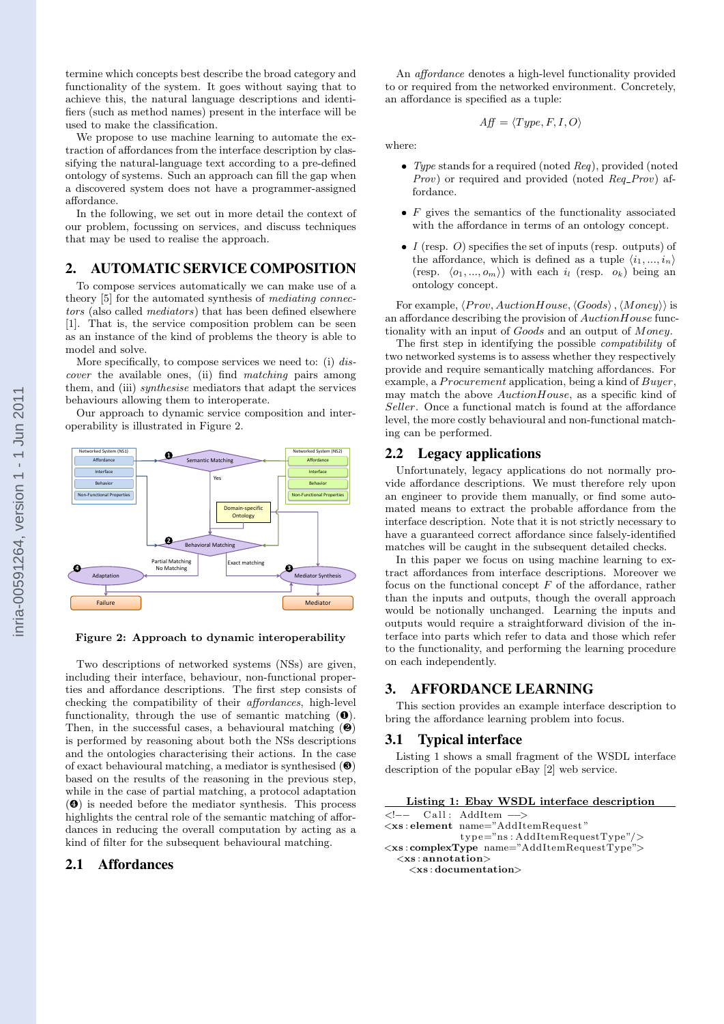termine which concepts best describe the broad category and functionality of the system. It goes without saying that to achieve this, the natural language descriptions and identifiers (such as method names) present in the interface will be used to make the classification.

We propose to use machine learning to automate the extraction of affordances from the interface description by classifying the natural-language text according to a pre-defined ontology of systems. Such an approach can fill the gap when a discovered system does not have a programmer-assigned affordance.

In the following, we set out in more detail the context of our problem, focussing on services, and discuss techniques that may be used to realise the approach.

#### 2. AUTOMATIC SERVICE COMPOSITION

To compose services automatically we can make use of a theory [5] for the automated synthesis of mediating connectors (also called mediators) that has been defined elsewhere [1]. That is, the service composition problem can be seen as an instance of the kind of problems the theory is able to model and solve.

More specifically, to compose services we need to: (i) discover the available ones, (ii) find matching pairs among them, and (iii) synthesise mediators that adapt the services behaviours allowing them to interoperate.

Our approach to dynamic service composition and interoperability is illustrated in Figure 2.



#### Figure 2: Approach to dynamic interoperability

Two descriptions of networked systems (NSs) are given, including their interface, behaviour, non-functional properties and affordance descriptions. The first step consists of checking the compatibility of their affordances, high-level functionality, through the use of semantic matching  $(\mathbf{0})$ . Then, in the successful cases, a behavioural matching  $(\bullet)$ is performed by reasoning about both the NSs descriptions and the ontologies characterising their actions. In the case of exact behavioural matching, a mediator is synthesised  $(\bullet)$ based on the results of the reasoning in the previous step, while in the case of partial matching, a protocol adaptation (❹) is needed before the mediator synthesis. This process highlights the central role of the semantic matching of affordances in reducing the overall computation by acting as a kind of filter for the subsequent behavioural matching.

#### 2.1 Affordances

An affordance denotes a high-level functionality provided to or required from the networked environment. Concretely, an affordance is specified as a tuple:

$$
Aff = \langle Type, F, I, O \rangle
$$

where:

- Type stands for a required (noted  $\text{Re}q$ ), provided (noted *Prov*) or required and provided (noted  $Req$ -*Prov*) affordance.
- $F$  gives the semantics of the functionality associated with the affordance in terms of an ontology concept.
- I (resp.  $\hat{O}$ ) specifies the set of inputs (resp. outputs) of the affordance, which is defined as a tuple  $\langle i_1, ..., i_n \rangle$ (resp.  $\langle o_1, ..., o_m \rangle$ ) with each  $i_l$  (resp.  $o_k$ ) being an ontology concept.

For example,  $\langle Prov, AuctionHouse, \langle Goods \rangle$ ,  $\langle Money \rangle$  is an affordance describing the provision of AuctionHouse functionality with an input of Goods and an output of Money.

The first step in identifying the possible compatibility of two networked systems is to assess whether they respectively provide and require semantically matching affordances. For example, a *Procurement* application, being a kind of Buyer. may match the above AuctionHouse, as a specific kind of Seller. Once a functional match is found at the affordance level, the more costly behavioural and non-functional matching can be performed.

#### 2.2 Legacy applications

Unfortunately, legacy applications do not normally provide affordance descriptions. We must therefore rely upon an engineer to provide them manually, or find some automated means to extract the probable affordance from the interface description. Note that it is not strictly necessary to have a guaranteed correct affordance since falsely-identified matches will be caught in the subsequent detailed checks.

In this paper we focus on using machine learning to extract affordances from interface descriptions. Moreover we focus on the functional concept  $F$  of the affordance, rather than the inputs and outputs, though the overall approach would be notionally unchanged. Learning the inputs and outputs would require a straightforward division of the interface into parts which refer to data and those which refer to the functionality, and performing the learning procedure on each independently.

#### 3. AFFORDANCE LEARNING

This section provides an example interface description to bring the affordance learning problem into focus.

## 3.1 Typical interface

Listing 1 shows a small fragment of the WSDL interface description of the popular eBay [2] web service.

```
Listing 1: Ebay WSDL interface description
<!−− C all : AddItem −−>
<xs : element name="AddItemRequest "
             type="ns : AddItemRequestType"/>
<xs : complexType name="AddItemRequestType">
  <xs : annotation>
    \langle xs: documentation \rangle
```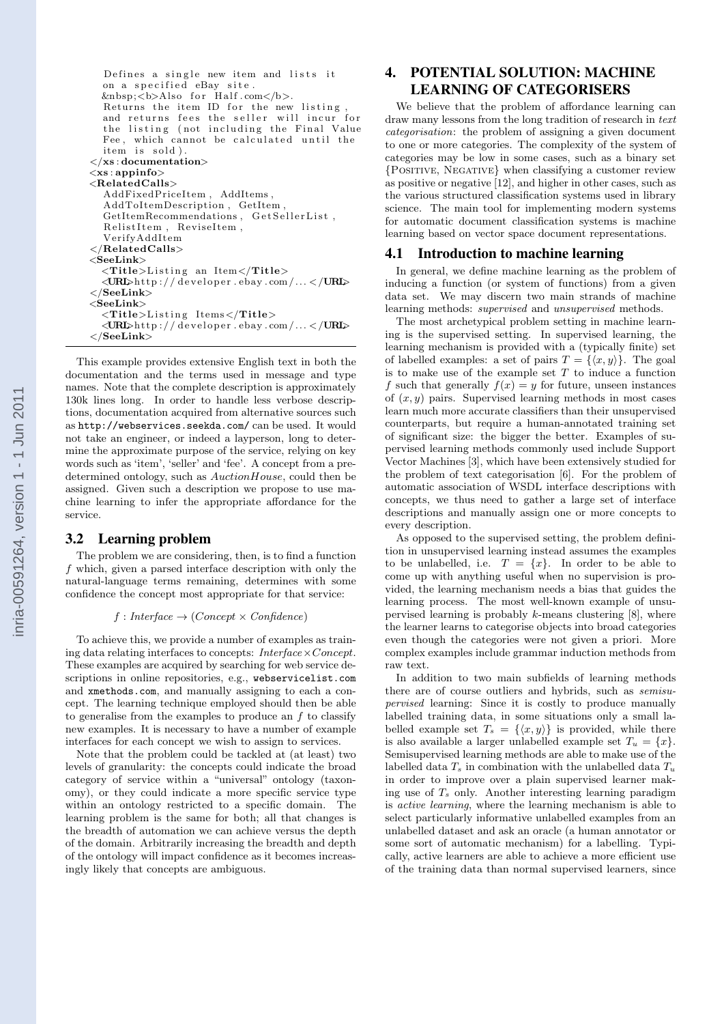```
Defines a single new item and lists it
  on a specified eBay site.
  knbsp; <b>A</b>lso for Half.com</b>.
  Returns the item ID for the new listing
  and returns fees the seller will incur for
  the listing (not including the Final Value
  Fee, which cannot be calculated until the
  item is sold).
\langle x \ranglexs: documentation
<xs: appinfo><RelatedCalls>AddFixedPriceItem , AddItems ,
   AddToItemDescription , GetItem ,
  {\tt GetItemRecommendations} , {\tt GetSelfList} ,
   RelistItem, ReviseItem,
   VerifyAddItem
</RelatedCalls>
<SeeLink>\langle\text{Title}\rangleListing an Item\langle\text{Title}\rangle\langle \text{URL} \ranglehttp://developer.ebay.com/...\langle / \text{URL} \rangle</SeeLink>
<SeeLink>\langle\text{Title}\rangleListing Items\langle\text{Title}\rangle\langle \text{URL} \ranglehttp://developer.ebay.com/...\langle / \text{URL} \rangle</SeeLink>
```
This example provides extensive English text in both the documentation and the terms used in message and type names. Note that the complete description is approximately 130k lines long. In order to handle less verbose descriptions, documentation acquired from alternative sources such as http://webservices.seekda.com/ can be used. It would not take an engineer, or indeed a layperson, long to determine the approximate purpose of the service, relying on key words such as 'item', 'seller' and 'fee'. A concept from a predetermined ontology, such as  $\textit{AuctionHouse}$ , could then be assigned. Given such a description we propose to use machine learning to infer the appropriate affordance for the service.

## 3.2 Learning problem

The problem we are considering, then, is to find a function f which, given a parsed interface description with only the natural-language terms remaining, determines with some confidence the concept most appropriate for that service:

 $f: \text{Interface} \rightarrow (\text{Concept} \times \text{Confidence})$ 

To achieve this, we provide a number of examples as training data relating interfaces to concepts:  $Interface \times Concept$ . These examples are acquired by searching for web service descriptions in online repositories, e.g., webservicelist.com and xmethods.com, and manually assigning to each a concept. The learning technique employed should then be able to generalise from the examples to produce an  $f$  to classify new examples. It is necessary to have a number of example interfaces for each concept we wish to assign to services.

Note that the problem could be tackled at (at least) two levels of granularity: the concepts could indicate the broad category of service within a "universal" ontology (taxonomy), or they could indicate a more specific service type within an ontology restricted to a specific domain. The learning problem is the same for both; all that changes is the breadth of automation we can achieve versus the depth of the domain. Arbitrarily increasing the breadth and depth of the ontology will impact confidence as it becomes increasingly likely that concepts are ambiguous.

# 4. POTENTIAL SOLUTION: MACHINE LEARNING OF CATEGORISERS

We believe that the problem of affordance learning can draw many lessons from the long tradition of research in text categorisation: the problem of assigning a given document to one or more categories. The complexity of the system of categories may be low in some cases, such as a binary set {Positive, Negative} when classifying a customer review as positive or negative [12], and higher in other cases, such as the various structured classification systems used in library science. The main tool for implementing modern systems for automatic document classification systems is machine learning based on vector space document representations.

#### 4.1 Introduction to machine learning

In general, we define machine learning as the problem of inducing a function (or system of functions) from a given data set. We may discern two main strands of machine learning methods: supervised and unsupervised methods.

The most archetypical problem setting in machine learning is the supervised setting. In supervised learning, the learning mechanism is provided with a (typically finite) set of labelled examples: a set of pairs  $T = \{\langle x, y \rangle\}$ . The goal is to make use of the example set  $T$  to induce a function f such that generally  $f(x) = y$  for future, unseen instances of  $(x, y)$  pairs. Supervised learning methods in most cases learn much more accurate classifiers than their unsupervised counterparts, but require a human-annotated training set of significant size: the bigger the better. Examples of supervised learning methods commonly used include Support Vector Machines [3], which have been extensively studied for the problem of text categorisation [6]. For the problem of automatic association of WSDL interface descriptions with concepts, we thus need to gather a large set of interface descriptions and manually assign one or more concepts to every description.

As opposed to the supervised setting, the problem definition in unsupervised learning instead assumes the examples to be unlabelled, i.e.  $T = \{x\}$ . In order to be able to come up with anything useful when no supervision is provided, the learning mechanism needs a bias that guides the learning process. The most well-known example of unsupervised learning is probably  $k$ -means clustering  $[8]$ , where the learner learns to categorise objects into broad categories even though the categories were not given a priori. More complex examples include grammar induction methods from raw text.

In addition to two main subfields of learning methods there are of course outliers and hybrids, such as semisupervised learning: Since it is costly to produce manually labelled training data, in some situations only a small labelled example set  $T_s = \{ \langle x, y \rangle \}$  is provided, while there is also available a larger unlabelled example set  $T_u = \{x\}.$ Semisupervised learning methods are able to make use of the labelled data  $T_s$  in combination with the unlabelled data  $T_u$ in order to improve over a plain supervised learner making use of  $T_s$  only. Another interesting learning paradigm is active learning, where the learning mechanism is able to select particularly informative unlabelled examples from an unlabelled dataset and ask an oracle (a human annotator or some sort of automatic mechanism) for a labelling. Typically, active learners are able to achieve a more efficient use of the training data than normal supervised learners, since